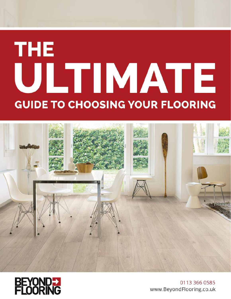# **THE** ULTIMATE **GUIDE TO CHOOSING YOUR FLOORING**





0113 366 0585 www.BeyondFlooring.co.uk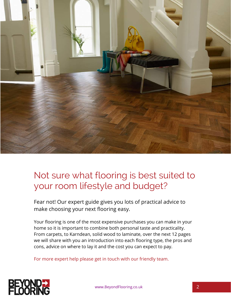

## Not sure what flooring is best suited to your room lifestyle and budget?

Fear not! Our expert guide gives you lots of practical advice to make choosing your next flooring easy.

Your flooring is one of the most expensive purchases you can make in your home so it is important to combine both personal taste and practicality. From carpets, to Karndean, solid wood to laminate, over the next 12 pages we will share with you an introduction into each flooring type, the pros and cons, advice on where to lay it and the cost you can expect to pay.

For more expert help please get in touch with our friendly team.

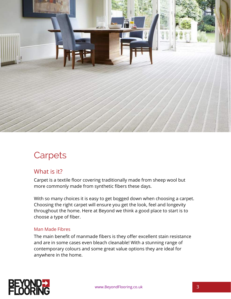

# **Carpets**

#### What is it?

Carpet is a textile floor covering traditionally made from sheep wool but more commonly made from synthetic fibers these days.

With so many choices it is easy to get bogged down when choosing a carpet. Choosing the right carpet will ensure you get the look, feel and longevity throughout the home. Here at Beyond we think a good place to start is to choose a type of fiber.

#### Man Made Fibres

The main benefit of manmade fibers is they offer excellent stain resistance and are in some cases even bleach cleanable! With a stunning range of contemporary colours and some great value options they are ideal for anywhere in the home.

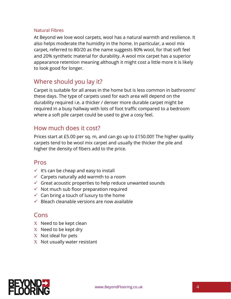#### Natural Fibres

At Beyond we love wool carpets, wool has a natural warmth and resilience. It also helps moderate the humidity in the home. In particular, a wool mix carpet, referred to 80/20 as the name suggests 80% wool, for that soft feel and 20% synthetic material for durability. A wool mix carpet has a superior appearance retention meaning although it might cost a little more it is likely to look good for longer.

#### Where should you lay it?

Carpet is suitable for all areas in the home but is less common in bathrooms' these days. The type of carpets used for each area will depend on the durability required i.e. a thicker / denser more durable carpet might be required in a busy hallway with lots of foot traffic compared to a bedroom where a soft pile carpet could be used to give a cosy feel.

#### How much does it cost?

Prices start at £5.00 per sq. m, and can go up to £150.00!! The higher quality carpets tend to be wool mix carpet and usually the thicker the pile and higher the density of fibers add to the price.

#### Pros

- $\checkmark$  It's can be cheap and easy to install
- $\checkmark$  Carpets naturally add warmth to a room
- $\checkmark$  Great acoustic properties to help reduce unwanted sounds
- $\checkmark$  Not much sub floor preparation required
- $\checkmark$  Can bring a touch of luxury to the home
- $\checkmark$  Bleach cleanable versions are now available

- $X$  Need to be kept clean
- $X$  Need to be kept dry
- $X$  Not ideal for pets
- $X$  Not usually water resistant

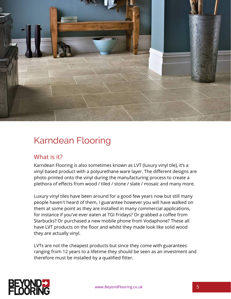

### Karndean Flooring

#### What is it?

Karndean Flooring is also sometimes known as LVT (luxury vinyl tile), it's a vinyl based product with a polyurethane ware layer. The different designs are photo printed onto the vinyl during the manufacturing process to create a plethora of effects from wood / tiled / stone / slate / mosaic and many more.

Luxury vinyl tiles have been around for a good few years now but still many people haven't heard of them, I guarantee however you will have walked on them at some point as they are installed in many commercial applications, for instance if you've ever eaten at TGI Fridays? Or grabbed a coffee from Starbucks? Or purchased a new mobile phone from Vodaphone? These all have LVT products on the floor and whilst they made look like solid wood they are actually vinyl.

LVTs are not the cheapest products but since they come with guarantees ranging from 12 years to a lifetime they should be seen as an investment and therefore must be installed by a qualified fitter.

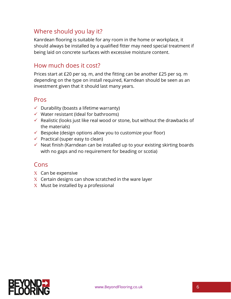#### Where should you lay it?

Kanrdean flooring is suitable for any room in the home or workplace, it should always be installed by a qualified fitter may need special treatment if being laid on concrete surfaces with excessive moisture content.

#### How much does it cost?

Prices start at £20 per sq. m, and the fitting can be another £25 per sq. m depending on the type on install required, Karndean should be seen as an investment given that it should last many years.

#### Pros

- $\checkmark$  Durability (boasts a lifetime warranty)
- $\checkmark$  Water resistant (Ideal for bathrooms)
- $\checkmark$  Realistic (looks just like real wood or stone, but without the drawbacks of the materials)
- $\checkmark$  Bespoke (design options allow you to customize your floor)
- $\checkmark$  Practical (super easy to clean)
- $\checkmark$  Neat finish (Karndean can be installed up to your existing skirting boards with no gaps and no requirement for beading or scotia)

- $X$  Can be expensive
- $X$  Certain designs can show scratched in the ware layer
- $X$  Must be installed by a professional

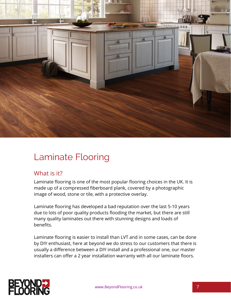

# Laminate Flooring

#### What is it?

Laminate flooring is one of the most popular flooring choices in the UK. It is made up of a compressed fiberboard plank, covered by a photographic image of wood, stone or tile, with a protective overlay.

Laminate flooring has developed a bad reputation over the last 5-10 years due to lots of poor quality products flooding the market, but there are still many quality laminates out there with stunning designs and loads of benefits.

Laminate flooring is easier to install than LVT and in some cases, can be done by DIY enthusiast, here at beyond we do stress to our customers that there is usually a difference between a DIY install and a professional one, our master installers can offer a 2 year installation warranty with all our laminate floors.



www.BeyondFlooring.co.uk 7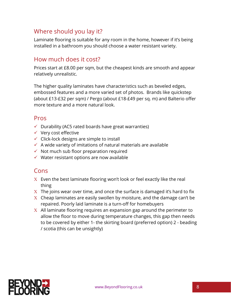#### Where should you lay it?

Laminate flooring is suitable for any room in the home, however if it's being installed in a bathroom you should choose a water resistant variety.

#### How much does it cost?

Prices start at £8.00 per sqm, but the cheapest kinds are smooth and appear relatively unrealistic.

The higher quality laminates have characteristics such as beveled edges, embossed features and a more varied set of photos. Brands like quickstep (about £13-£32 per sqm) / Pergo (about £18-£49 per sq. m) and Balterio offer more texture and a more natural look.

#### Pros

- $\checkmark$  Durability (AC5 rated boards have great warranties)
- $\checkmark$  Very cost effective
- $\checkmark$  Click-lock designs are simple to install
- $\checkmark$  A wide variety of imitations of natural materials are available
- $\checkmark$  Not much sub floor preparation required
- $\checkmark$  Water resistant options are now available

- $X$  Even the best laminate flooring won't look or feel exactly like the real thing
- $X$  The joins wear over time, and once the surface is damaged it's hard to fix
- $\overline{X}$  Cheap laminates are easily swollen by moisture, and the damage can't be repaired. Poorly laid laminate is a turn-off for homebuyers
- $X$  All laminate flooring requires an expansion gap around the perimeter to allow the floor to move during temperature changes, this gap then needs to be covered by either 1- the skirting board (preferred option) 2 - beading / scotia (this can be unsightly)

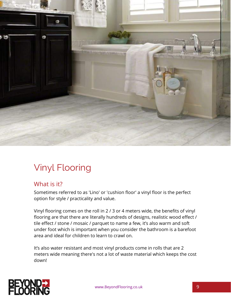

# Vinyl Flooring

#### What is it?

Sometimes referred to as 'Lino' or 'cushion floor' a vinyl floor is the perfect option for style / practicality and value.

Vinyl flooring comes on the roll in 2 / 3 or 4 meters wide, the benefits of vinyl flooring are that there are literally hundreds of designs, realistic wood effect / tile effect / stone / mosaic / parquet to name a few, it's also warm and soft under foot which is important when you consider the bathroom is a barefoot area and ideal for children to learn to crawl on.

It's also water resistant and most vinyl products come in rolls that are 2 meters wide meaning there's not a lot of waste material which keeps the cost down!



www.BeyondFlooring.co.uk 9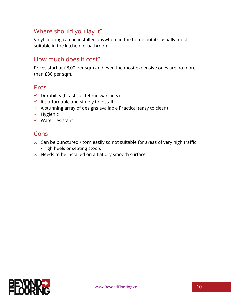#### Where should you lay it?

Vinyl flooring can be installed anywhere in the home but it's usually most suitable in the kitchen or bathroom.

#### How much does it cost?

Prices start at £8.00 per sqm and even the most expensive ones are no more than £30 per sqm.

#### Pros

- $\checkmark$  Durability (boasts a lifetime warranty)
- $\checkmark$  It's affordable and simply to install
- $\checkmark$  A stunning array of designs available Practical (easy to clean)
- $\checkmark$  Hygienic
- $\checkmark$  Water resistant

- $X$  Can be punctured / torn easily so not suitable for areas of very high traffic / high heels or seating stools
- $X$  Needs to be installed on a flat dry smooth surface

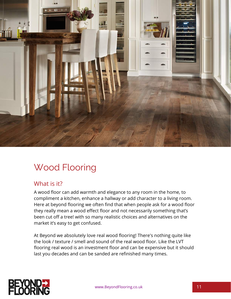

# Wood Flooring

#### What is it?

A wood floor can add warmth and elegance to any room in the home, to compliment a kitchen, enhance a hallway or add character to a living room. Here at beyond flooring we often find that when people ask for a wood floor they really mean a wood effect floor and not necessarily something that's been cut off a tree! with so many realistic choices and alternatives on the market it's easy to get confused.

At Beyond we absolutely love real wood flooring! There's nothing quite like the look / texture / smell and sound of the real wood floor. Like the LVT flooring real wood is an investment floor and can be expensive but it should last you decades and can be sanded are refinished many times.

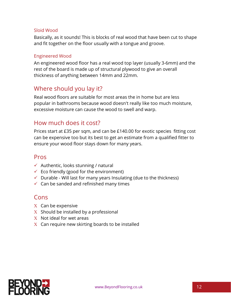#### Sloid Wood

Basically, as it sounds! This is blocks of real wood that have been cut to shape and fit together on the floor usually with a tongue and groove.

#### Engineered Wood

An engineered wood floor has a real wood top layer (usually 3-6mm) and the rest of the board is made up of structural plywood to give an overall thickness of anything between 14mm and 22mm.

#### Where should you lay it?

Real wood floors are suitable for most areas the in home but are less popular in bathrooms because wood doesn't really like too much moisture, excessive moisture can cause the wood to swell and warp.

#### How much does it cost?

Prices start at £35 per sqm, and can be £140.00 for exotic species fitting cost can be expensive too but its best to get an estimate from a qualified fitter to ensure your wood floor stays down for many years.

#### Pros

- $\checkmark$  Authentic, looks stunning / natural
- $\checkmark$  Eco friendly (good for the environment)
- $\checkmark$  Durable Will last for many years Insulating (due to the thickness)
- $\checkmark$  Can be sanded and refinished many times

- $X$  Can be expensive
- $X$  Should be installed by a professional
- $X$  Not ideal for wet areas
- $X$  Can require new skirting boards to be installed